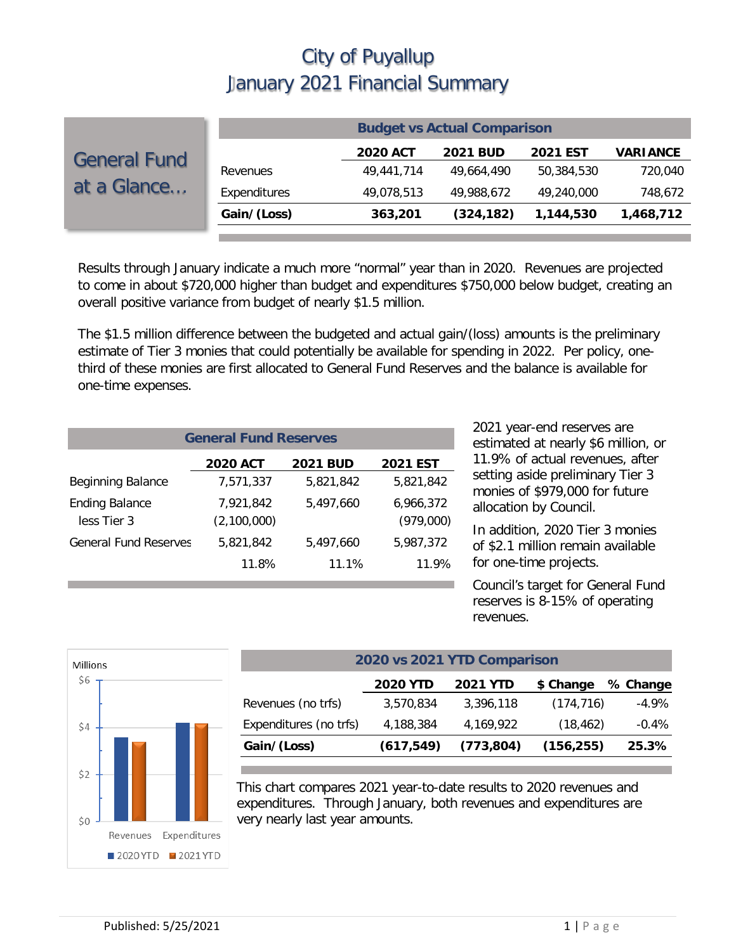|                                    | <b>Budget vs Actual Comparison</b> |                 |                 |                 |                 |  |
|------------------------------------|------------------------------------|-----------------|-----------------|-----------------|-----------------|--|
| <b>General Fund</b><br>at a Glance |                                    | <b>2020 ACT</b> | <b>2021 BUD</b> | <b>2021 EST</b> | <b>VARIANCE</b> |  |
|                                    | Revenues                           | 49,441,714      | 49,664,490      | 50.384.530      | 720,040         |  |
|                                    | Expenditures                       | 49,078,513      | 49,988,672      | 49,240,000      | 748,672         |  |
|                                    | Gain/(Loss)                        | 363,201         | (324, 182)      | 1,144,530       | 1,468,712       |  |

Results through January indicate a much more "normal" year than in 2020. Revenues are projected to come in about \$720,000 higher than budget and expenditures \$750,000 below budget, creating an overall positive variance from budget of nearly \$1.5 million.

The \$1.5 million difference between the budgeted and actual gain/(loss) amounts is the preliminary estimate of Tier 3 monies that could potentially be available for spending in 2022. Per policy, onethird of these monies are first allocated to General Fund Reserves and the balance is available for one-time expenses.

| <b>General Fund Reserves</b>         |                          |                 |                        |  |  |  |
|--------------------------------------|--------------------------|-----------------|------------------------|--|--|--|
|                                      | <b>2020 ACT</b>          | <b>2021 BUD</b> | <b>2021 EST</b>        |  |  |  |
| <b>Beginning Balance</b>             | 7,571,337                | 5.821.842       | 5,821,842              |  |  |  |
| <b>Ending Balance</b><br>less Tier 3 | 7,921,842<br>(2,100,000) | 5.497.660       | 6,966,372<br>(979,000) |  |  |  |
| <b>General Fund Reserves</b>         | 5.821.842                | 5,497,660       | 5,987,372              |  |  |  |
|                                      | 11.8%                    | 11.1%           | 11.9%                  |  |  |  |

2021 year-end reserves are estimated at nearly \$6 million, or 11.9% of actual revenues, after setting aside preliminary Tier 3 monies of \$979,000 for future allocation by Council.

In addition, 2020 Tier 3 monies of \$2.1 million remain available for one-time projects.

Council's target for General Fund reserves is 8-15% of operating revenues.



| 2020 vs 2021 YTD Comparison |                 |                 |            |          |  |  |  |  |
|-----------------------------|-----------------|-----------------|------------|----------|--|--|--|--|
|                             | <b>2020 YTD</b> | <b>2021 YTD</b> | \$ Change  | % Change |  |  |  |  |
| Revenues (no trfs)          | 3,570,834       | 3,396,118       | (174, 716) | $-4.9\%$ |  |  |  |  |
| Expenditures (no trfs)      | 4,188,384       | 4,169,922       | (18, 462)  | $-0.4%$  |  |  |  |  |
| Gain/(Loss)                 | (617, 549)      | (773, 804)      | (156, 255) | 25.3%    |  |  |  |  |

This chart compares 2021 year-to-date results to 2020 revenues and expenditures. Through January, both revenues and expenditures are very nearly last year amounts.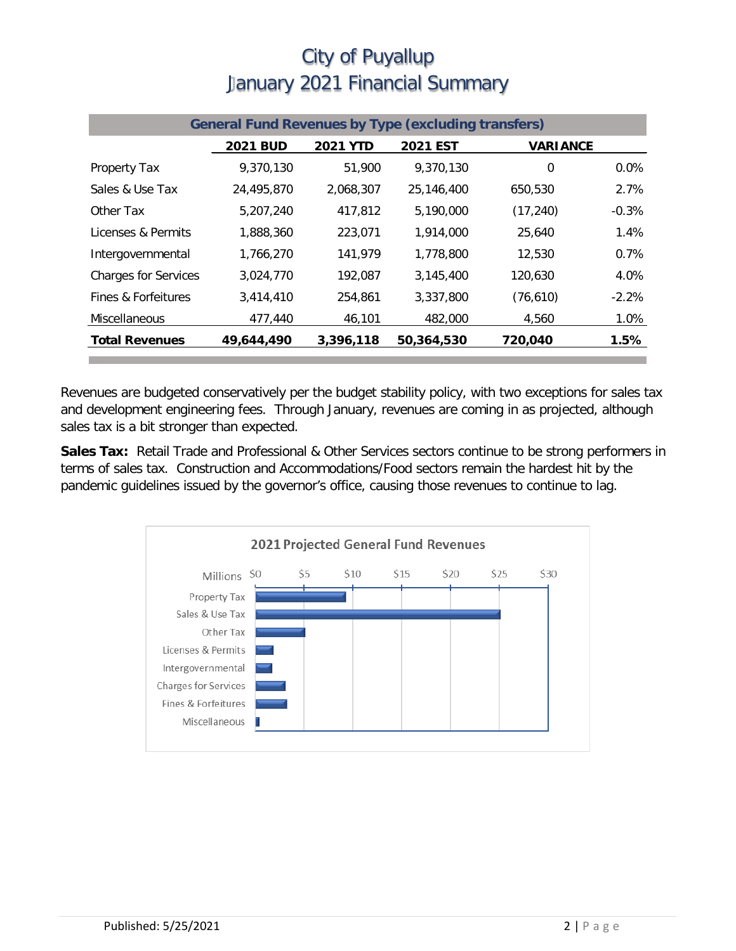| <b>General Fund Revenues by Type (excluding transfers)</b> |                 |                 |                 |                 |         |  |
|------------------------------------------------------------|-----------------|-----------------|-----------------|-----------------|---------|--|
|                                                            | <b>2021 BUD</b> | <b>2021 YTD</b> | <b>2021 EST</b> | <b>VARIANCE</b> |         |  |
| Property Tax                                               | 9,370,130       | 51,900          | 9.370.130       | $\mathbf 0$     | 0.0%    |  |
| Sales & Use Tax                                            | 24,495,870      | 2,068,307       | 25,146,400      | 650,530         | 2.7%    |  |
| Other Tax                                                  | 5,207,240       | 417,812         | 5,190,000       | (17, 240)       | $-0.3%$ |  |
| Licenses & Permits                                         | 1,888,360       | 223,071         | 1.914.000       | 25,640          | 1.4%    |  |
| Intergovernmental                                          | 1,766,270       | 141,979         | 1,778,800       | 12,530          | 0.7%    |  |
| <b>Charges for Services</b>                                | 3,024,770       | 192,087         | 3.145.400       | 120.630         | 4.0%    |  |
| Fines & Forfeitures                                        | 3,414,410       | 254,861         | 3,337,800       | (76, 610)       | $-2.2%$ |  |
| Miscellaneous                                              | 477,440         | 46,101          | 482,000         | 4,560           | 1.0%    |  |
| <b>Total Revenues</b>                                      | 49,644,490      | 3,396,118       | 50,364,530      | 720,040         | 1.5%    |  |

Revenues are budgeted conservatively per the budget stability policy, with two exceptions for sales tax and development engineering fees. Through January, revenues are coming in as projected, although sales tax is a bit stronger than expected.

**Sales Tax:** Retail Trade and Professional & Other Services sectors continue to be strong performers in terms of sales tax. Construction and Accommodations/Food sectors remain the hardest hit by the pandemic guidelines issued by the governor's office, causing those revenues to continue to lag.

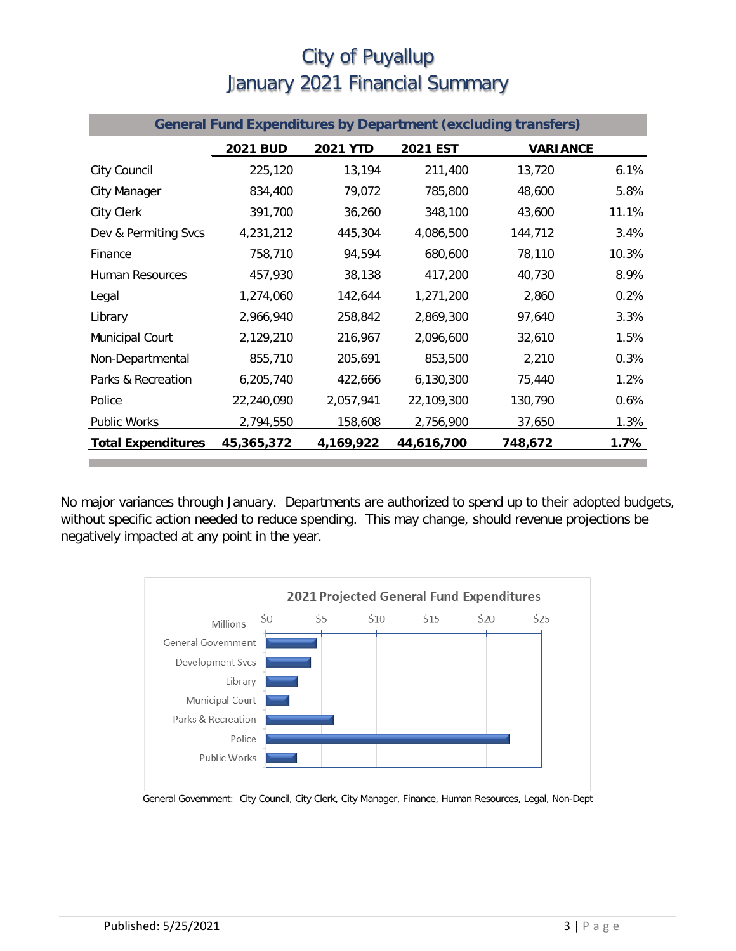| <b>General Fund Expenditures by Department (excluding transfers)</b> |                 |                 |            |                 |       |
|----------------------------------------------------------------------|-----------------|-----------------|------------|-----------------|-------|
|                                                                      | <b>2021 BUD</b> | <b>2021 YTD</b> | 2021 EST   | <b>VARIANCE</b> |       |
| City Council                                                         | 225,120         | 13,194          | 211,400    | 13,720          | 6.1%  |
| City Manager                                                         | 834,400         | 79,072          | 785,800    | 48,600          | 5.8%  |
| <b>City Clerk</b>                                                    | 391,700         | 36,260          | 348,100    | 43,600          | 11.1% |
| Dev & Permiting Svcs                                                 | 4,231,212       | 445,304         | 4,086,500  | 144,712         | 3.4%  |
| Finance                                                              | 758,710         | 94,594          | 680,600    | 78,110          | 10.3% |
| <b>Human Resources</b>                                               | 457,930         | 38,138          | 417,200    | 40,730          | 8.9%  |
| Legal                                                                | 1,274,060       | 142,644         | 1,271,200  | 2,860           | 0.2%  |
| Library                                                              | 2,966,940       | 258,842         | 2,869,300  | 97,640          | 3.3%  |
| Municipal Court                                                      | 2,129,210       | 216,967         | 2,096,600  | 32,610          | 1.5%  |
| Non-Departmental                                                     | 855,710         | 205,691         | 853,500    | 2,210           | 0.3%  |
| Parks & Recreation                                                   | 6,205,740       | 422,666         | 6,130,300  | 75,440          | 1.2%  |
| Police                                                               | 22,240,090      | 2,057,941       | 22,109,300 | 130,790         | 0.6%  |
| Public Works                                                         | 2,794,550       | 158,608         | 2,756,900  | 37,650          | 1.3%  |
| <b>Total Expenditures</b>                                            | 45,365,372      | 4,169,922       | 44,616,700 | 748,672         | 1.7%  |

No major variances through January. Departments are authorized to spend up to their adopted budgets, without specific action needed to reduce spending. This may change, should revenue projections be negatively impacted at any point in the year.



General Government: City Council, City Clerk, City Manager, Finance, Human Resources, Legal, Non-Dept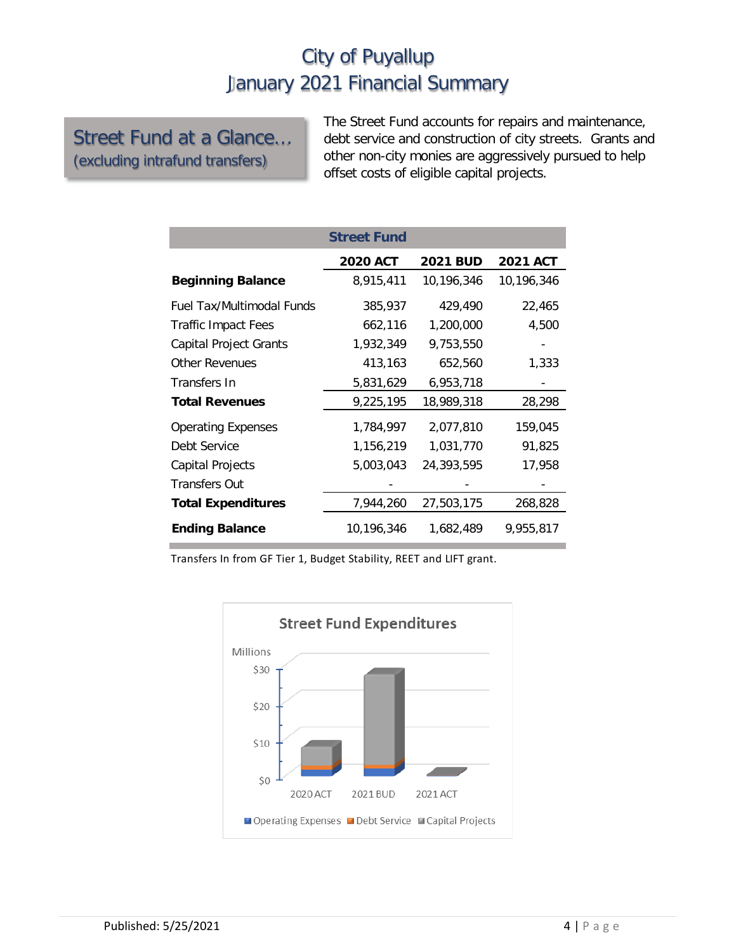#### Street Fund at a Glance… (excluding intrafund transfers)

The Street Fund accounts for repairs and maintenance, debt service and construction of city streets. Grants and other non-city monies are aggressively pursued to help offset costs of eligible capital projects.

|                               | <b>Street Fund</b> |                 |                 |
|-------------------------------|--------------------|-----------------|-----------------|
|                               | <b>2020 ACT</b>    | <b>2021 BUD</b> | <b>2021 ACT</b> |
| <b>Beginning Balance</b>      | 8,915,411          | 10,196,346      | 10,196,346      |
| Fuel Tax/Multimodal Funds     | 385,937            | 429,490         | 22,465          |
| Traffic Impact Fees           | 662,116            | 1,200,000       | 4,500           |
| <b>Capital Project Grants</b> | 1,932,349          | 9,753,550       |                 |
| <b>Other Revenues</b>         | 413,163            | 652,560         | 1,333           |
| Transfers In                  | 5,831,629          | 6,953,718       |                 |
| <b>Total Revenues</b>         | 9,225,195          | 18,989,318      | 28,298          |
| <b>Operating Expenses</b>     | 1,784,997          | 2,077,810       | 159,045         |
| Debt Service                  | 1,156,219          | 1,031,770       | 91,825          |
| Capital Projects              | 5,003,043          | 24,393,595      | 17,958          |
| <b>Transfers Out</b>          |                    |                 |                 |
| <b>Total Expenditures</b>     | 7,944,260          | 27,503,175      | 268,828         |
| <b>Ending Balance</b>         | 10,196,346         | 1,682,489       | 9,955,817       |

Transfers In from GF Tier 1, Budget Stability, REET and LIFT grant.

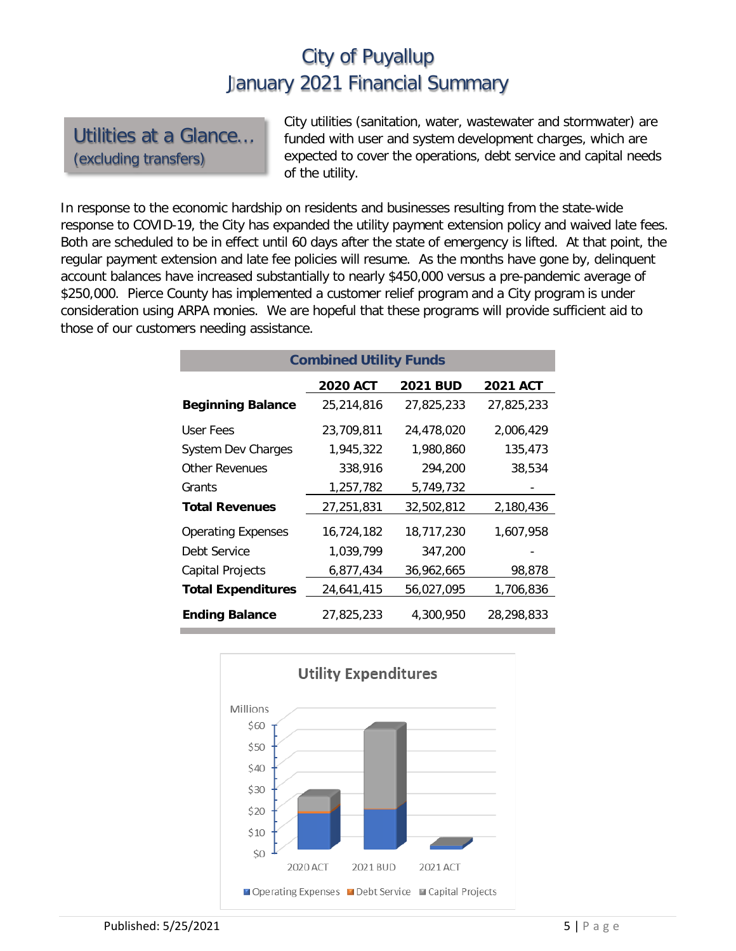#### Utilities at a Glance… (excluding transfers)

City utilities (sanitation, water, wastewater and stormwater) are funded with user and system development charges, which are expected to cover the operations, debt service and capital needs of the utility.

In response to the economic hardship on residents and businesses resulting from the state-wide response to COVID-19, the City has expanded the utility payment extension policy and waived late fees. Both are scheduled to be in effect until 60 days after the state of emergency is lifted. At that point, the regular payment extension and late fee policies will resume. As the months have gone by, delinquent account balances have increased substantially to nearly \$450,000 versus a pre-pandemic average of \$250,000. Pierce County has implemented a customer relief program and a City program is under consideration using ARPA monies. We are hopeful that these programs will provide sufficient aid to those of our customers needing assistance.

| <b>Combined Utility Funds</b> |                 |                 |                 |  |  |  |  |
|-------------------------------|-----------------|-----------------|-----------------|--|--|--|--|
|                               | <b>2020 ACT</b> | <b>2021 BUD</b> | <b>2021 ACT</b> |  |  |  |  |
| <b>Beginning Balance</b>      | 25,214,816      | 27,825,233      | 27,825,233      |  |  |  |  |
| User Fees                     | 23,709,811      | 24,478,020      | 2,006,429       |  |  |  |  |
| <b>System Dev Charges</b>     | 1,945,322       | 1,980,860       | 135,473         |  |  |  |  |
| <b>Other Revenues</b>         | 338,916         | 294,200         | 38,534          |  |  |  |  |
| Grants                        | 1,257,782       | 5,749,732       |                 |  |  |  |  |
| <b>Total Revenues</b>         | 27,251,831      | 32,502,812      | 2,180,436       |  |  |  |  |
| <b>Operating Expenses</b>     | 16,724,182      | 18,717,230      | 1,607,958       |  |  |  |  |
| Debt Service                  | 1,039,799       | 347,200         |                 |  |  |  |  |
| <b>Capital Projects</b>       | 6,877,434       | 36,962,665      | 98,878          |  |  |  |  |
| <b>Total Expenditures</b>     | 24,641,415      | 56,027,095      | 1,706,836       |  |  |  |  |
| <b>Ending Balance</b>         | 27,825,233      | 4,300,950       | 28,298,833      |  |  |  |  |

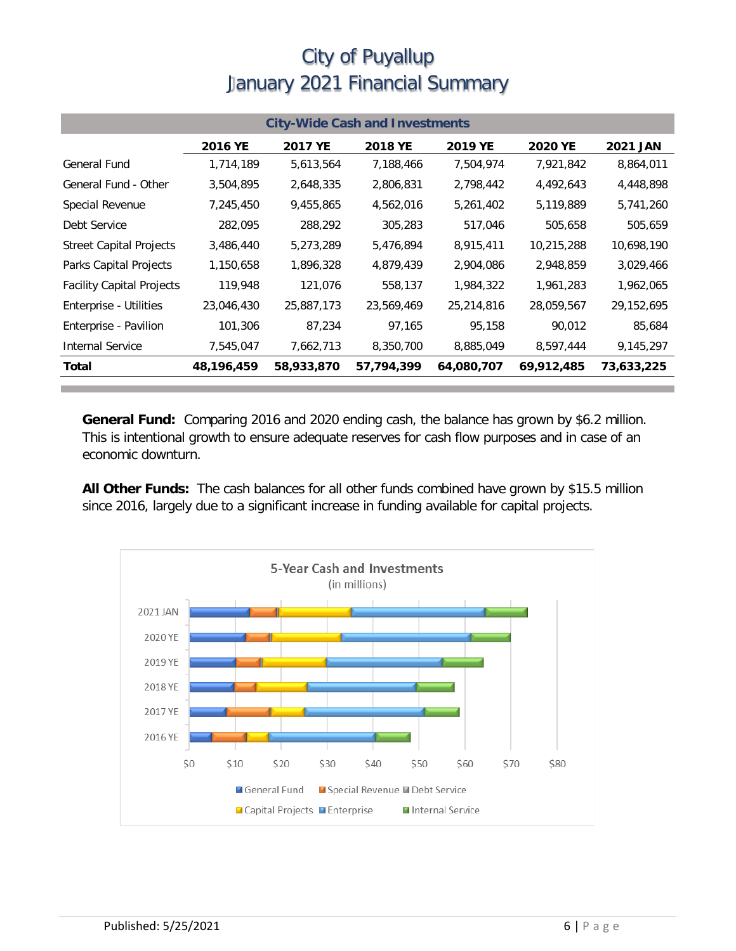| <b>City-Wide Cash and Investments</b> |            |            |            |            |                |                 |  |
|---------------------------------------|------------|------------|------------|------------|----------------|-----------------|--|
|                                       | 2016 YE    | 2017 YE    | 2018 YE    | 2019 YE    | <b>2020 YE</b> | <b>2021 JAN</b> |  |
| General Fund                          | 1,714,189  | 5,613,564  | 7,188,466  | 7,504,974  | 7,921,842      | 8,864,011       |  |
| General Fund - Other                  | 3,504,895  | 2,648,335  | 2,806,831  | 2,798,442  | 4,492,643      | 4,448,898       |  |
| Special Revenue                       | 7,245,450  | 9,455,865  | 4,562,016  | 5,261,402  | 5,119,889      | 5,741,260       |  |
| Debt Service                          | 282,095    | 288,292    | 305,283    | 517,046    | 505,658        | 505,659         |  |
| <b>Street Capital Projects</b>        | 3,486,440  | 5,273,289  | 5,476,894  | 8,915,411  | 10,215,288     | 10,698,190      |  |
| Parks Capital Projects                | 1,150,658  | 1,896,328  | 4,879,439  | 2,904,086  | 2,948,859      | 3,029,466       |  |
| <b>Facility Capital Projects</b>      | 119,948    | 121,076    | 558,137    | 1,984,322  | 1,961,283      | 1,962,065       |  |
| Enterprise - Utilities                | 23,046,430 | 25,887,173 | 23,569,469 | 25,214,816 | 28,059,567     | 29,152,695      |  |
| Enterprise - Pavilion                 | 101,306    | 87,234     | 97,165     | 95,158     | 90,012         | 85,684          |  |
| <b>Internal Service</b>               | 7,545,047  | 7,662,713  | 8,350,700  | 8,885,049  | 8,597,444      | 9,145,297       |  |
| <b>Total</b>                          | 48,196,459 | 58,933,870 | 57,794,399 | 64,080,707 | 69,912,485     | 73,633,225      |  |

**General Fund:** Comparing 2016 and 2020 ending cash, the balance has grown by \$6.2 million. This is intentional growth to ensure adequate reserves for cash flow purposes and in case of an economic downturn.

**All Other Funds:** The cash balances for all other funds combined have grown by \$15.5 million since 2016, largely due to a significant increase in funding available for capital projects.